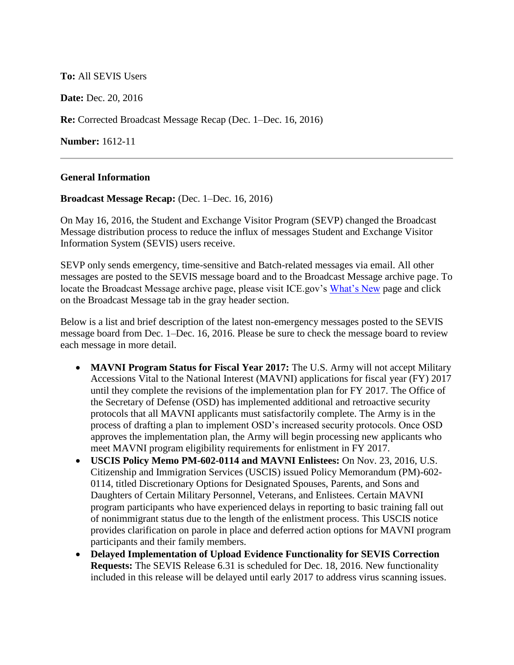# **To:** All SEVIS Users

**Date:** Dec. 20, 2016

**Re:** Corrected Broadcast Message Recap (Dec. 1–Dec. 16, 2016)

**Number:** 1612-11

## **General Information**

#### **Broadcast Message Recap:** (Dec. 1–Dec. 16, 2016)

On May 16, 2016, the Student and Exchange Visitor Program (SEVP) changed the Broadcast Message distribution process to reduce the influx of messages Student and Exchange Visitor Information System (SEVIS) users receive.

SEVP only sends emergency, time-sensitive and Batch-related messages via email. All other messages are posted to the SEVIS message board and to the Broadcast Message archive page. To locate the Broadcast Message archive page, please visit ICE.gov's [What's New](https://www.ice.gov/sevis/whats-new) page and click on the Broadcast Message tab in the gray header section.

Below is a list and brief description of the latest non-emergency messages posted to the SEVIS message board from Dec. 1–Dec. 16, 2016. Please be sure to check the message board to review each message in more detail.

- **MAVNI Program Status for Fiscal Year 2017:** The U.S. Army will not accept Military Accessions Vital to the National Interest (MAVNI) applications for fiscal year (FY) 2017 until they complete the revisions of the implementation plan for FY 2017. The Office of the Secretary of Defense (OSD) has implemented additional and retroactive security protocols that all MAVNI applicants must satisfactorily complete. The Army is in the process of drafting a plan to implement OSD's increased security protocols. Once OSD approves the implementation plan, the Army will begin processing new applicants who meet MAVNI program eligibility requirements for enlistment in FY 2017.
- **USCIS Policy Memo PM-602-0114 and MAVNI Enlistees:** On Nov. 23, 2016, U.S. Citizenship and Immigration Services (USCIS) issued Policy Memorandum (PM)-602- 0114, titled Discretionary Options for Designated Spouses, Parents, and Sons and Daughters of Certain Military Personnel, Veterans, and Enlistees. Certain MAVNI program participants who have experienced delays in reporting to basic training fall out of nonimmigrant status due to the length of the enlistment process. This USCIS notice provides clarification on parole in place and deferred action options for MAVNI program participants and their family members.
- **Delayed Implementation of Upload Evidence Functionality for SEVIS Correction Requests:** The SEVIS Release 6.31 is scheduled for Dec. 18, 2016. New functionality included in this release will be delayed until early 2017 to address virus scanning issues.